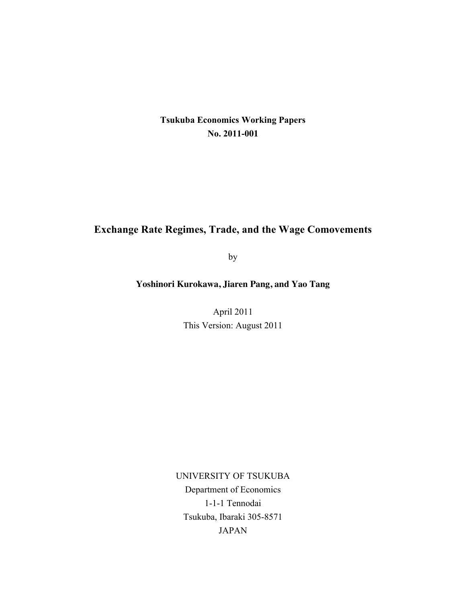# **Tsukuba Economics Working Papers No. 2011-001**

# **Exchange Rate Regimes, Trade, and the Wage Comovements**

by

**Yoshinori Kurokawa, Jiaren Pang, and Yao Tang**

April 2011 This Version: August 2011

UNIVERSITY OF TSUKUBA Department of Economics 1-1-1 Tennodai Tsukuba, Ibaraki 305-8571 JAPAN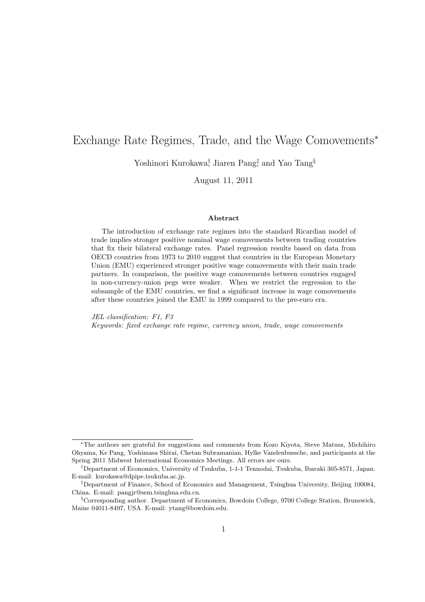# Exchange Rate Regimes, Trade, and the Wage Comovements<sup>∗</sup>

Yoshinori Kurokawa<sup>†</sup>, Jiaren Pang<sup>‡</sup> and Yao Tang<sup>§</sup>

August 11, 2011

#### Abstract

The introduction of exchange rate regimes into the standard Ricardian model of trade implies stronger positive nominal wage comovements between trading countries that fix their bilateral exchange rates. Panel regression results based on data from OECD countries from 1973 to 2010 suggest that countries in the European Monetary Union (EMU) experienced stronger positive wage comovements with their main trade partners. In comparison, the positive wage comovements between countries engaged in non-currency-union pegs were weaker. When we restrict the regression to the subsample of the EMU countries, we find a significant increase in wage comovements after these countries joined the EMU in 1999 compared to the pre-euro era.

JEL classification: F1, F3 Keywords: fixed exchange rate regime, currency union, trade, wage comovements

<sup>∗</sup>The authors are grateful for suggestions and comments from Kozo Kiyota, Steve Matusz, Michihiro Ohyama, Ke Pang, Yoshimasa Shirai, Chetan Subramanian, Hylke Vandenbussche, and participants at the Spring 2011 Midwest International Economics Meetings. All errors are ours.

<sup>†</sup>Department of Economics, University of Tsukuba, 1-1-1 Tennodai, Tsukuba, Ibaraki 305-8571, Japan. E-mail: kurokawa@dpipe.tsukuba.ac.jp.

<sup>‡</sup>Department of Finance, School of Economics and Management, Tsinghua University, Beijing 100084, China. E-mail: pangjr@sem.tsinghua.edu.cn.

<sup>§</sup>Corresponding author. Department of Economics, Bowdoin College, 9700 College Station, Brunswick, Maine 04011-8497, USA. E-mail: ytang@bowdoin.edu.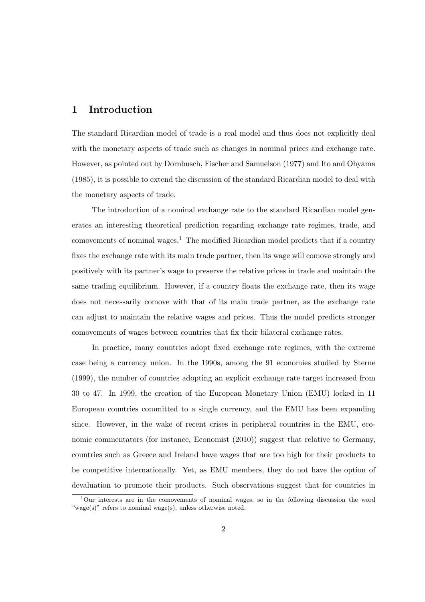#### 1 Introduction

The standard Ricardian model of trade is a real model and thus does not explicitly deal with the monetary aspects of trade such as changes in nominal prices and exchange rate. However, as pointed out by Dornbusch, Fischer and Samuelson (1977) and Ito and Ohyama (1985), it is possible to extend the discussion of the standard Ricardian model to deal with the monetary aspects of trade.

The introduction of a nominal exchange rate to the standard Ricardian model generates an interesting theoretical prediction regarding exchange rate regimes, trade, and comovements of nominal wages.<sup>1</sup> The modified Ricardian model predicts that if a country fixes the exchange rate with its main trade partner, then its wage will comove strongly and positively with its partner's wage to preserve the relative prices in trade and maintain the same trading equilibrium. However, if a country floats the exchange rate, then its wage does not necessarily comove with that of its main trade partner, as the exchange rate can adjust to maintain the relative wages and prices. Thus the model predicts stronger comovements of wages between countries that fix their bilateral exchange rates.

In practice, many countries adopt fixed exchange rate regimes, with the extreme case being a currency union. In the 1990s, among the 91 economies studied by Sterne (1999), the number of countries adopting an explicit exchange rate target increased from 30 to 47. In 1999, the creation of the European Monetary Union (EMU) locked in 11 European countries committed to a single currency, and the EMU has been expanding since. However, in the wake of recent crises in peripheral countries in the EMU, economic commentators (for instance, Economist (2010)) suggest that relative to Germany, countries such as Greece and Ireland have wages that are too high for their products to be competitive internationally. Yet, as EMU members, they do not have the option of devaluation to promote their products. Such observations suggest that for countries in

<sup>1</sup>Our interests are in the comovements of nominal wages, so in the following discussion the word "wage(s)" refers to nominal wage(s), unless otherwise noted.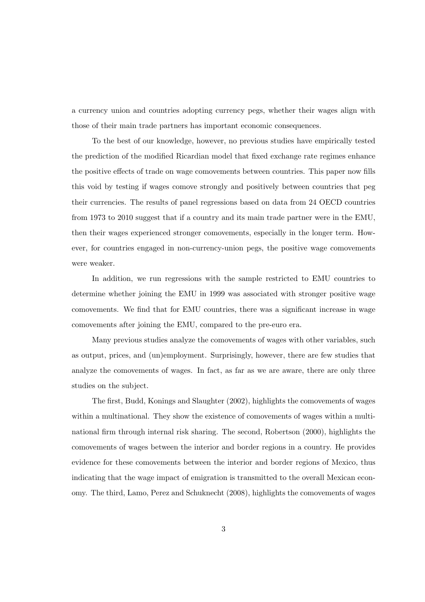a currency union and countries adopting currency pegs, whether their wages align with those of their main trade partners has important economic consequences.

To the best of our knowledge, however, no previous studies have empirically tested the prediction of the modified Ricardian model that fixed exchange rate regimes enhance the positive effects of trade on wage comovements between countries. This paper now fills this void by testing if wages comove strongly and positively between countries that peg their currencies. The results of panel regressions based on data from 24 OECD countries from 1973 to 2010 suggest that if a country and its main trade partner were in the EMU, then their wages experienced stronger comovements, especially in the longer term. However, for countries engaged in non-currency-union pegs, the positive wage comovements were weaker.

In addition, we run regressions with the sample restricted to EMU countries to determine whether joining the EMU in 1999 was associated with stronger positive wage comovements. We find that for EMU countries, there was a significant increase in wage comovements after joining the EMU, compared to the pre-euro era.

Many previous studies analyze the comovements of wages with other variables, such as output, prices, and (un)employment. Surprisingly, however, there are few studies that analyze the comovements of wages. In fact, as far as we are aware, there are only three studies on the subject.

The first, Budd, Konings and Slaughter (2002), highlights the comovements of wages within a multinational. They show the existence of comovements of wages within a multinational firm through internal risk sharing. The second, Robertson (2000), highlights the comovements of wages between the interior and border regions in a country. He provides evidence for these comovements between the interior and border regions of Mexico, thus indicating that the wage impact of emigration is transmitted to the overall Mexican economy. The third, Lamo, Perez and Schuknecht (2008), highlights the comovements of wages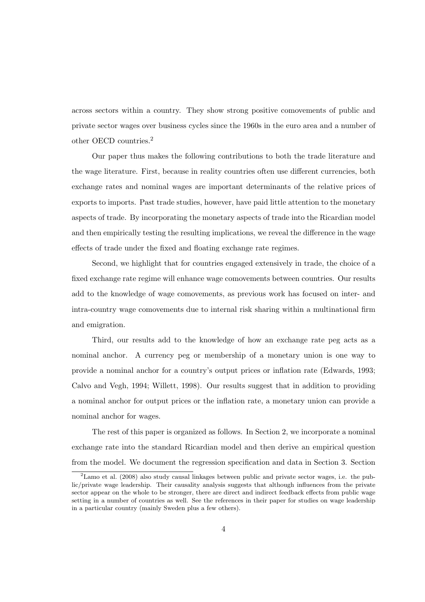across sectors within a country. They show strong positive comovements of public and private sector wages over business cycles since the 1960s in the euro area and a number of other OECD countries.<sup>2</sup>

Our paper thus makes the following contributions to both the trade literature and the wage literature. First, because in reality countries often use different currencies, both exchange rates and nominal wages are important determinants of the relative prices of exports to imports. Past trade studies, however, have paid little attention to the monetary aspects of trade. By incorporating the monetary aspects of trade into the Ricardian model and then empirically testing the resulting implications, we reveal the difference in the wage effects of trade under the fixed and floating exchange rate regimes.

Second, we highlight that for countries engaged extensively in trade, the choice of a fixed exchange rate regime will enhance wage comovements between countries. Our results add to the knowledge of wage comovements, as previous work has focused on inter- and intra-country wage comovements due to internal risk sharing within a multinational firm and emigration.

Third, our results add to the knowledge of how an exchange rate peg acts as a nominal anchor. A currency peg or membership of a monetary union is one way to provide a nominal anchor for a country's output prices or inflation rate (Edwards, 1993; Calvo and Vegh, 1994; Willett, 1998). Our results suggest that in addition to providing a nominal anchor for output prices or the inflation rate, a monetary union can provide a nominal anchor for wages.

The rest of this paper is organized as follows. In Section 2, we incorporate a nominal exchange rate into the standard Ricardian model and then derive an empirical question from the model. We document the regression specification and data in Section 3. Section

<sup>2</sup>Lamo et al. (2008) also study causal linkages between public and private sector wages, i.e. the public/private wage leadership. Their causality analysis suggests that although influences from the private sector appear on the whole to be stronger, there are direct and indirect feedback effects from public wage setting in a number of countries as well. See the references in their paper for studies on wage leadership in a particular country (mainly Sweden plus a few others).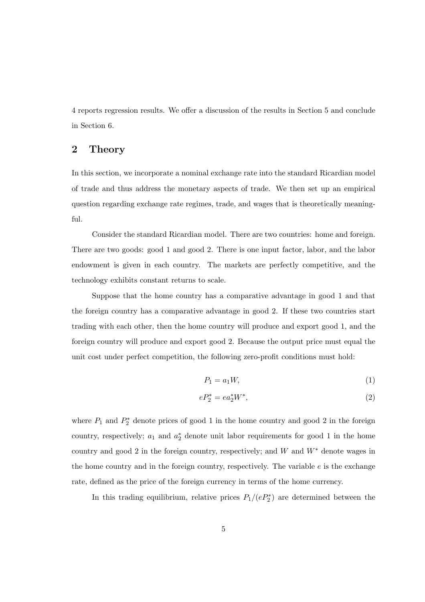4 reports regression results. We offer a discussion of the results in Section 5 and conclude in Section 6.

## 2 Theory

In this section, we incorporate a nominal exchange rate into the standard Ricardian model of trade and thus address the monetary aspects of trade. We then set up an empirical question regarding exchange rate regimes, trade, and wages that is theoretically meaningful.

Consider the standard Ricardian model. There are two countries: home and foreign. There are two goods: good 1 and good 2. There is one input factor, labor, and the labor endowment is given in each country. The markets are perfectly competitive, and the technology exhibits constant returns to scale.

Suppose that the home country has a comparative advantage in good 1 and that the foreign country has a comparative advantage in good 2. If these two countries start trading with each other, then the home country will produce and export good 1, and the foreign country will produce and export good 2. Because the output price must equal the unit cost under perfect competition, the following zero-profit conditions must hold:

$$
P_1 = a_1 W,\tag{1}
$$

$$
eP_2^* = ea_2^*W^*,\tag{2}
$$

where  $P_1$  and  $P_2^*$  denote prices of good 1 in the home country and good 2 in the foreign country, respectively;  $a_1$  and  $a_2^*$  denote unit labor requirements for good 1 in the home country and good 2 in the foreign country, respectively; and  $W$  and  $W^*$  denote wages in the home country and in the foreign country, respectively. The variable  $e$  is the exchange rate, defined as the price of the foreign currency in terms of the home currency.

In this trading equilibrium, relative prices  $P_1/(eP_2^*)$  are determined between the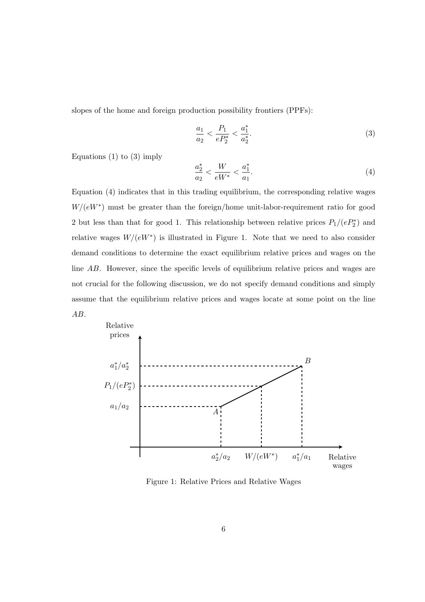slopes of the home and foreign production possibility frontiers (PPFs):

$$
\frac{a_1}{a_2} < \frac{P_1}{eP_2^*} < \frac{a_1^*}{a_2^*}.\tag{3}
$$

Equations  $(1)$  to  $(3)$  imply

$$
\frac{a_2^*}{a_2} < \frac{W}{eW^*} < \frac{a_1^*}{a_1}.\tag{4}
$$

Equation (4) indicates that in this trading equilibrium, the corresponding relative wages  $W/(eW^*)$  must be greater than the foreign/home unit-labor-requirement ratio for good 2 but less than that for good 1. This relationship between relative prices  $P_1/(eP_2^*)$  and relative wages  $W/(eW^*)$  is illustrated in Figure 1. Note that we need to also consider demand conditions to determine the exact equilibrium relative prices and wages on the line  $AB$ . However, since the specific levels of equilibrium relative prices and wages are not crucial for the following discussion, we do not specify demand conditions and simply assume that the equilibrium relative prices and wages locate at some point on the line  $AB.$ 



Figure 1: Relative Prices and Relative Wages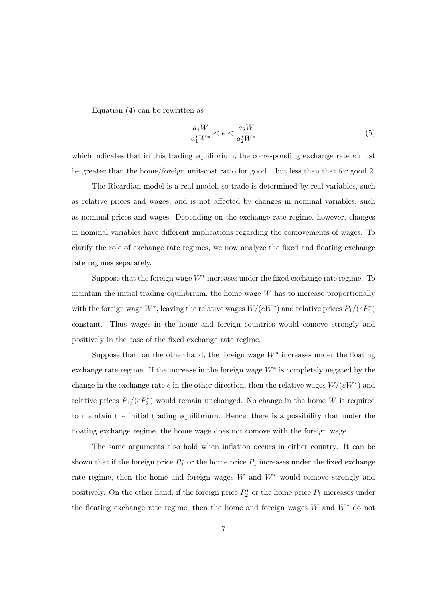Equation (4) can be rewritten as

$$
\frac{a_1 W}{a_1^* W^*} < e < \frac{a_2 W}{a_2^* W^*} \tag{5}
$$

which indicates that in this trading equilibrium, the corresponding exchange rate  $e$  must be greater than the home/foreign unit-cost ratio for good 1 but less than that for good 2.

The Ricardian model is a real model, so trade is determined by real variables, such as relative prices and wages, and is not affected by changes in nominal variables, such as nominal prices and wages. Depending on the exchange rate regime, however, changes in nominal variables have different implications regarding the comovements of wages. To clarify the role of exchange rate regimes, we now analyze the fixed and floating exchange rate regimes separately.

Suppose that the foreign wage  $W^*$  increases under the fixed exchange rate regime. To maintain the initial trading equilibrium, the home wage  $W$  has to increase proportionally with the foreign wage  $W^*$ , leaving the relative wages  $W/(eW^*)$  and relative prices  $P_1/(eP_2^*)$ constant. Thus wages in the home and foreign countries would comove strongly and positively in the case of the fixed exchange rate regime.

Suppose that, on the other hand, the foreign wage  $W^*$  increases under the floating exchange rate regime. If the increase in the foreign wage  $W^*$  is completely negated by the change in the exchange rate  $e$  in the other direction, then the relative wages  $W/(eW^*)$  and relative prices  $P_1/(eP_2^*)$  would remain unchanged. No change in the home W is required to maintain the initial trading equilibrium. Hence, there is a possibility that under the floating exchange regime, the home wage does not comove with the foreign wage.

The same arguments also hold when inflation occurs in either country. It can be shown that if the foreign price  $P_2^*$  or the home price  $P_1$  increases under the fixed exchange rate regime, then the home and foreign wages  $W$  and  $W^*$  would comove strongly and positively. On the other hand, if the foreign price  $P_2^*$  or the home price  $P_1$  increases under the floating exchange rate regime, then the home and foreign wages  $W$  and  $W^*$  do not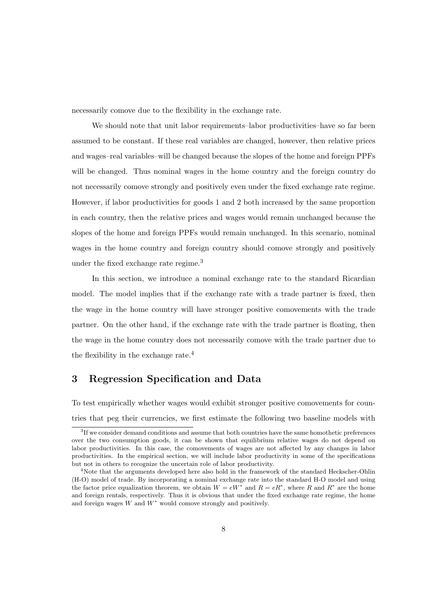necessarily comove due to the flexibility in the exchange rate.

We should note that unit labor requirements–labor productivities–have so far been assumed to be constant. If these real variables are changed, however, then relative prices and wages–real variables–will be changed because the slopes of the home and foreign PPFs will be changed. Thus nominal wages in the home country and the foreign country do not necessarily comove strongly and positively even under the fixed exchange rate regime. However, if labor productivities for goods 1 and 2 both increased by the same proportion in each country, then the relative prices and wages would remain unchanged because the slopes of the home and foreign PPFs would remain unchanged. In this scenario, nominal wages in the home country and foreign country should comove strongly and positively under the fixed exchange rate regime.<sup>3</sup>

In this section, we introduce a nominal exchange rate to the standard Ricardian model. The model implies that if the exchange rate with a trade partner is fixed, then the wage in the home country will have stronger positive comovements with the trade partner. On the other hand, if the exchange rate with the trade partner is floating, then the wage in the home country does not necessarily comove with the trade partner due to the flexibility in the exchange rate.<sup>4</sup>

## 3 Regression Specification and Data

To test empirically whether wages would exhibit stronger positive comovements for countries that peg their currencies, we first estimate the following two baseline models with

<sup>&</sup>lt;sup>3</sup>If we consider demand conditions and assume that both countries have the same homothetic preferences over the two consumption goods, it can be shown that equilibrium relative wages do not depend on labor productivities. In this case, the comovements of wages are not affected by any changes in labor productivities. In the empirical section, we will include labor productivity in some of the specifications but not in others to recognize the uncertain role of labor productivity.<br><sup>4</sup>Note that the arguments developed here also hold in the framework of the standard Heckscher-Ohlin

<sup>(</sup>H-O) model of trade. By incorporating a nominal exchange rate into the standard H-O model and using the factor price equalization theorem, we obtain  $W = eW^*$  and  $R = eR^*$ , where R and  $R^*$  are the home and foreign rentals, respectively. Thus it is obvious that under the fixed exchange rate regime, the home and foreign wages  $W$  and  $W^*$  would comove strongly and positively.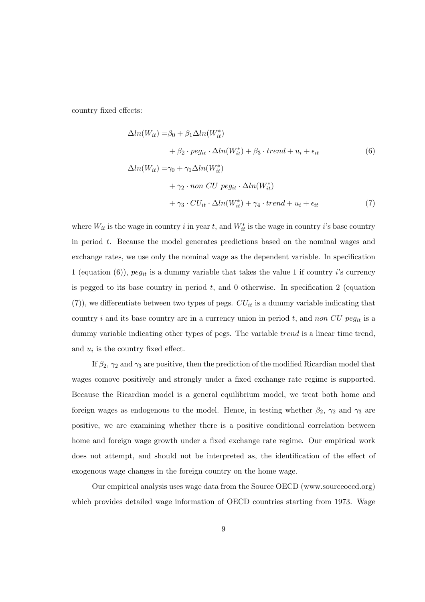country fixed effects:

$$
\Delta ln(W_{it}) = \beta_0 + \beta_1 \Delta ln(W_{it}^*)
$$
  
+  $\beta_2 \cdot p e g_{it} \cdot \Delta ln(W_{it}^*) + \beta_3 \cdot trend + u_i + \epsilon_{it}$  (6)  

$$
\Delta ln(W_{it}) = \gamma_0 + \gamma_1 \Delta ln(W_{it}^*)
$$
  
+  $\gamma_2 \cdot non \ CU \ pe g_{it} \cdot \Delta ln(W_{it}^*)$   
+  $\gamma_3 \cdot CU_{it} \cdot \Delta ln(W_{it}^*) + \gamma_4 \cdot trend + u_i + \epsilon_{it}$  (7)

where  $W_{it}$  is the wage in country i in year t, and  $W_{it}^*$  is the wage in country i's base country in period t. Because the model generates predictions based on the nominal wages and exchange rates, we use only the nominal wage as the dependent variable. In specification 1 (equation (6)),  $peg_{it}$  is a dummy variable that takes the value 1 if country *i*'s currency is pegged to its base country in period  $t$ , and 0 otherwise. In specification 2 (equation  $(7)$ , we differentiate between two types of pegs.  $CU_{it}$  is a dummy variable indicating that country i and its base country are in a currency union in period  $t$ , and non CU peg<sub>it</sub> is a dummy variable indicating other types of pegs. The variable  $trend$  is a linear time trend, and  $u_i$  is the country fixed effect.

If  $\beta_2$ ,  $\gamma_2$  and  $\gamma_3$  are positive, then the prediction of the modified Ricardian model that wages comove positively and strongly under a fixed exchange rate regime is supported. Because the Ricardian model is a general equilibrium model, we treat both home and foreign wages as endogenous to the model. Hence, in testing whether  $\beta_2$ ,  $\gamma_2$  and  $\gamma_3$  are positive, we are examining whether there is a positive conditional correlation between home and foreign wage growth under a fixed exchange rate regime. Our empirical work does not attempt, and should not be interpreted as, the identification of the effect of exogenous wage changes in the foreign country on the home wage.

Our empirical analysis uses wage data from the Source OECD (www.sourceoecd.org) which provides detailed wage information of OECD countries starting from 1973. Wage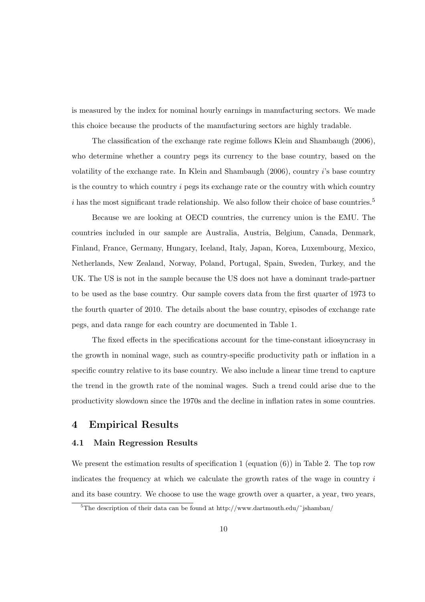is measured by the index for nominal hourly earnings in manufacturing sectors. We made this choice because the products of the manufacturing sectors are highly tradable.

The classification of the exchange rate regime follows Klein and Shambaugh (2006), who determine whether a country pegs its currency to the base country, based on the volatility of the exchange rate. In Klein and Shambaugh  $(2006)$ , country  $i$ 's base country is the country to which country  $i$  pegs its exchange rate or the country with which country  $i$  has the most significant trade relationship. We also follow their choice of base countries.<sup>5</sup>

Because we are looking at OECD countries, the currency union is the EMU. The countries included in our sample are Australia, Austria, Belgium, Canada, Denmark, Finland, France, Germany, Hungary, Iceland, Italy, Japan, Korea, Luxembourg, Mexico, Netherlands, New Zealand, Norway, Poland, Portugal, Spain, Sweden, Turkey, and the UK. The US is not in the sample because the US does not have a dominant trade-partner to be used as the base country. Our sample covers data from the first quarter of 1973 to the fourth quarter of 2010. The details about the base country, episodes of exchange rate pegs, and data range for each country are documented in Table 1.

The fixed effects in the specifications account for the time-constant idiosyncrasy in the growth in nominal wage, such as country-specific productivity path or inflation in a specific country relative to its base country. We also include a linear time trend to capture the trend in the growth rate of the nominal wages. Such a trend could arise due to the productivity slowdown since the 1970s and the decline in inflation rates in some countries.

#### 4 Empirical Results

#### 4.1 Main Regression Results

We present the estimation results of specification 1 (equation  $(6)$ ) in Table 2. The top row indicates the frequency at which we calculate the growth rates of the wage in country  $i$ and its base country. We choose to use the wage growth over a quarter, a year, two years,

<sup>&</sup>lt;sup>5</sup>The description of their data can be found at http://www.dartmouth.edu/~jshambau/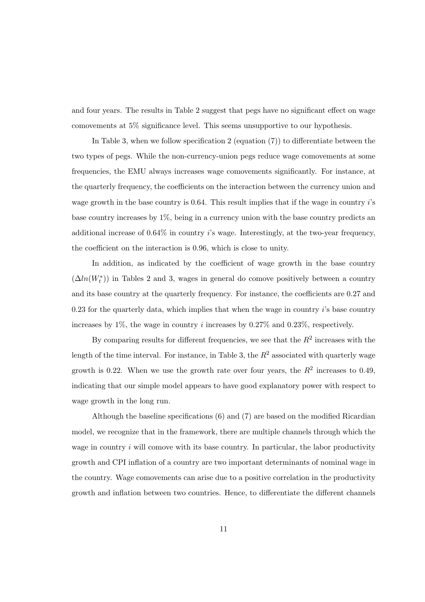and four years. The results in Table 2 suggest that pegs have no significant effect on wage comovements at 5% significance level. This seems unsupportive to our hypothesis.

In Table 3, when we follow specification 2 (equation (7)) to differentiate between the two types of pegs. While the non-currency-union pegs reduce wage comovements at some frequencies, the EMU always increases wage comovements significantly. For instance, at the quarterly frequency, the coefficients on the interaction between the currency union and wage growth in the base country is  $0.64$ . This result implies that if the wage in country  $i$ 's base country increases by  $1\%$ , being in a currency union with the base country predicts an additional increase of  $0.64\%$  in country *i*'s wage. Interestingly, at the two-year frequency, the coefficient on the interaction is 0.96, which is close to unity.

In addition, as indicated by the coefficient of wage growth in the base country  $(\Delta ln(W_t^*))$  in Tables 2 and 3, wages in general do comove positively between a country and its base country at the quarterly frequency. For instance, the coefficients are 0.27 and  $0.23$  for the quarterly data, which implies that when the wage in country  $i$ 's base country increases by  $1\%$ , the wage in country *i* increases by 0.27% and 0.23%, respectively.

By comparing results for different frequencies, we see that the  $R^2$  increases with the length of the time interval. For instance, in Table 3, the  $R^2$  associated with quarterly wage growth is 0.22. When we use the growth rate over four years, the  $R^2$  increases to 0.49, indicating that our simple model appears to have good explanatory power with respect to wage growth in the long run.

Although the baseline specifications (6) and (7) are based on the modified Ricardian model, we recognize that in the framework, there are multiple channels through which the wage in country  $i$  will comove with its base country. In particular, the labor productivity growth and CPI inflation of a country are two important determinants of nominal wage in the country. Wage comovements can arise due to a positive correlation in the productivity growth and inflation between two countries. Hence, to differentiate the different channels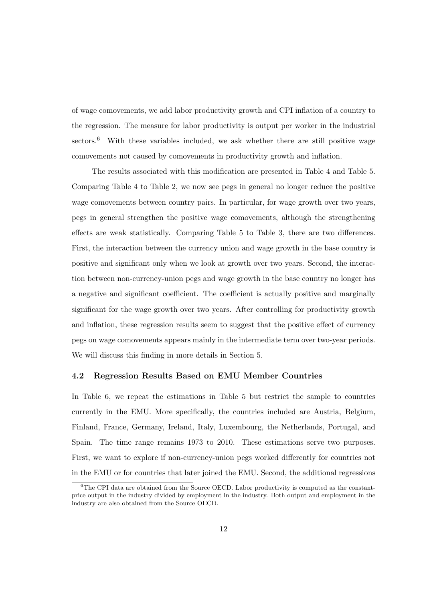of wage comovements, we add labor productivity growth and CPI inflation of a country to the regression. The measure for labor productivity is output per worker in the industrial sectors. $6$  With these variables included, we ask whether there are still positive wage comovements not caused by comovements in productivity growth and inflation.

The results associated with this modification are presented in Table 4 and Table 5. Comparing Table 4 to Table 2, we now see pegs in general no longer reduce the positive wage comovements between country pairs. In particular, for wage growth over two years, pegs in general strengthen the positive wage comovements, although the strengthening effects are weak statistically. Comparing Table 5 to Table 3, there are two differences. First, the interaction between the currency union and wage growth in the base country is positive and significant only when we look at growth over two years. Second, the interaction between non-currency-union pegs and wage growth in the base country no longer has a negative and significant coefficient. The coefficient is actually positive and marginally significant for the wage growth over two years. After controlling for productivity growth and inflation, these regression results seem to suggest that the positive effect of currency pegs on wage comovements appears mainly in the intermediate term over two-year periods. We will discuss this finding in more details in Section 5.

#### 4.2 Regression Results Based on EMU Member Countries

In Table 6, we repeat the estimations in Table 5 but restrict the sample to countries currently in the EMU. More specifically, the countries included are Austria, Belgium, Finland, France, Germany, Ireland, Italy, Luxembourg, the Netherlands, Portugal, and Spain. The time range remains 1973 to 2010. These estimations serve two purposes. First, we want to explore if non-currency-union pegs worked differently for countries not in the EMU or for countries that later joined the EMU. Second, the additional regressions

 $6$ The CPI data are obtained from the Source OECD. Labor productivity is computed as the constantprice output in the industry divided by employment in the industry. Both output and employment in the industry are also obtained from the Source OECD.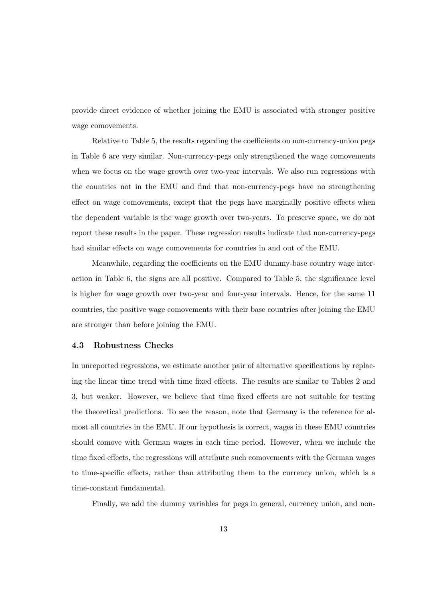provide direct evidence of whether joining the EMU is associated with stronger positive wage comovements.

Relative to Table 5, the results regarding the coefficients on non-currency-union pegs in Table 6 are very similar. Non-currency-pegs only strengthened the wage comovements when we focus on the wage growth over two-year intervals. We also run regressions with the countries not in the EMU and find that non-currency-pegs have no strengthening effect on wage comovements, except that the pegs have marginally positive effects when the dependent variable is the wage growth over two-years. To preserve space, we do not report these results in the paper. These regression results indicate that non-currency-pegs had similar effects on wage comovements for countries in and out of the EMU.

Meanwhile, regarding the coefficients on the EMU dummy-base country wage interaction in Table 6, the signs are all positive. Compared to Table 5, the significance level is higher for wage growth over two-year and four-year intervals. Hence, for the same 11 countries, the positive wage comovements with their base countries after joining the EMU are stronger than before joining the EMU.

#### 4.3 Robustness Checks

In unreported regressions, we estimate another pair of alternative specifications by replacing the linear time trend with time fixed effects. The results are similar to Tables 2 and 3, but weaker. However, we believe that time fixed effects are not suitable for testing the theoretical predictions. To see the reason, note that Germany is the reference for almost all countries in the EMU. If our hypothesis is correct, wages in these EMU countries should comove with German wages in each time period. However, when we include the time fixed effects, the regressions will attribute such comovements with the German wages to time-specific effects, rather than attributing them to the currency union, which is a time-constant fundamental.

Finally, we add the dummy variables for pegs in general, currency union, and non-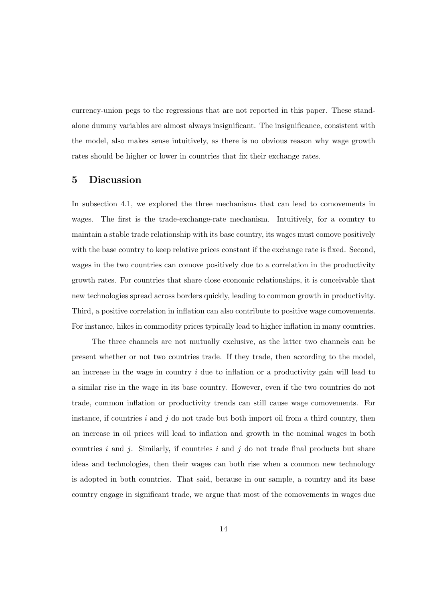currency-union pegs to the regressions that are not reported in this paper. These standalone dummy variables are almost always insignificant. The insignificance, consistent with the model, also makes sense intuitively, as there is no obvious reason why wage growth rates should be higher or lower in countries that fix their exchange rates.

#### 5 Discussion

In subsection 4.1, we explored the three mechanisms that can lead to comovements in wages. The first is the trade-exchange-rate mechanism. Intuitively, for a country to maintain a stable trade relationship with its base country, its wages must comove positively with the base country to keep relative prices constant if the exchange rate is fixed. Second, wages in the two countries can comove positively due to a correlation in the productivity growth rates. For countries that share close economic relationships, it is conceivable that new technologies spread across borders quickly, leading to common growth in productivity. Third, a positive correlation in inflation can also contribute to positive wage comovements. For instance, hikes in commodity prices typically lead to higher inflation in many countries.

The three channels are not mutually exclusive, as the latter two channels can be present whether or not two countries trade. If they trade, then according to the model, an increase in the wage in country  $i$  due to inflation or a productivity gain will lead to a similar rise in the wage in its base country. However, even if the two countries do not trade, common inflation or productivity trends can still cause wage comovements. For instance, if countries  $i$  and  $j$  do not trade but both import oil from a third country, then an increase in oil prices will lead to inflation and growth in the nominal wages in both countries  $i$  and  $j$ . Similarly, if countries  $i$  and  $j$  do not trade final products but share ideas and technologies, then their wages can both rise when a common new technology is adopted in both countries. That said, because in our sample, a country and its base country engage in significant trade, we argue that most of the comovements in wages due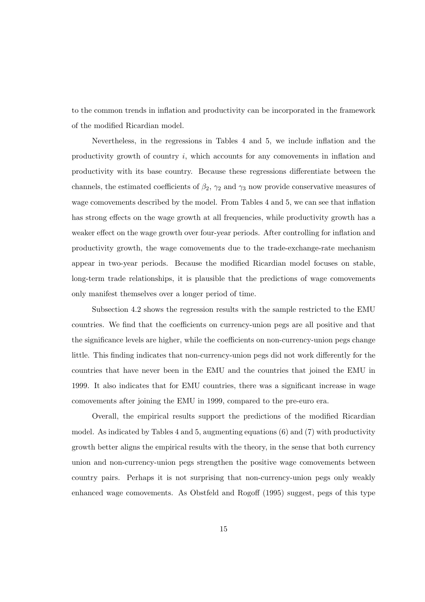to the common trends in inflation and productivity can be incorporated in the framework of the modified Ricardian model.

Nevertheless, in the regressions in Tables 4 and 5, we include inflation and the productivity growth of country  $i$ , which accounts for any comovements in inflation and productivity with its base country. Because these regressions differentiate between the channels, the estimated coefficients of  $\beta_2$ ,  $\gamma_2$  and  $\gamma_3$  now provide conservative measures of wage comovements described by the model. From Tables 4 and 5, we can see that inflation has strong effects on the wage growth at all frequencies, while productivity growth has a weaker effect on the wage growth over four-year periods. After controlling for inflation and productivity growth, the wage comovements due to the trade-exchange-rate mechanism appear in two-year periods. Because the modified Ricardian model focuses on stable, long-term trade relationships, it is plausible that the predictions of wage comovements only manifest themselves over a longer period of time.

Subsection 4.2 shows the regression results with the sample restricted to the EMU countries. We find that the coefficients on currency-union pegs are all positive and that the significance levels are higher, while the coefficients on non-currency-union pegs change little. This finding indicates that non-currency-union pegs did not work differently for the countries that have never been in the EMU and the countries that joined the EMU in 1999. It also indicates that for EMU countries, there was a significant increase in wage comovements after joining the EMU in 1999, compared to the pre-euro era.

Overall, the empirical results support the predictions of the modified Ricardian model. As indicated by Tables 4 and 5, augmenting equations (6) and (7) with productivity growth better aligns the empirical results with the theory, in the sense that both currency union and non-currency-union pegs strengthen the positive wage comovements between country pairs. Perhaps it is not surprising that non-currency-union pegs only weakly enhanced wage comovements. As Obstfeld and Rogoff (1995) suggest, pegs of this type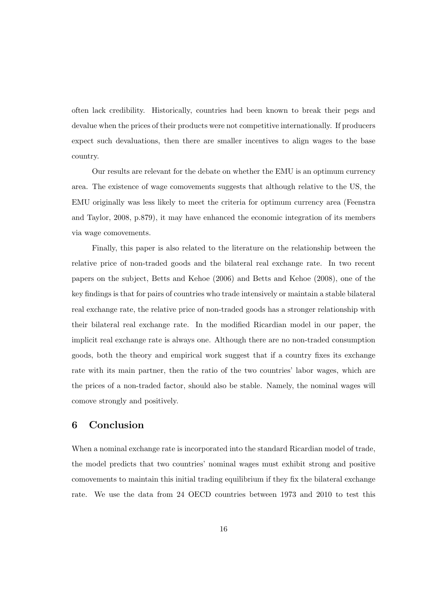often lack credibility. Historically, countries had been known to break their pegs and devalue when the prices of their products were not competitive internationally. If producers expect such devaluations, then there are smaller incentives to align wages to the base country.

Our results are relevant for the debate on whether the EMU is an optimum currency area. The existence of wage comovements suggests that although relative to the US, the EMU originally was less likely to meet the criteria for optimum currency area (Feenstra and Taylor, 2008, p.879), it may have enhanced the economic integration of its members via wage comovements.

Finally, this paper is also related to the literature on the relationship between the relative price of non-traded goods and the bilateral real exchange rate. In two recent papers on the subject, Betts and Kehoe (2006) and Betts and Kehoe (2008), one of the key findings is that for pairs of countries who trade intensively or maintain a stable bilateral real exchange rate, the relative price of non-traded goods has a stronger relationship with their bilateral real exchange rate. In the modified Ricardian model in our paper, the implicit real exchange rate is always one. Although there are no non-traded consumption goods, both the theory and empirical work suggest that if a country fixes its exchange rate with its main partner, then the ratio of the two countries' labor wages, which are the prices of a non-traded factor, should also be stable. Namely, the nominal wages will comove strongly and positively.

## 6 Conclusion

When a nominal exchange rate is incorporated into the standard Ricardian model of trade, the model predicts that two countries' nominal wages must exhibit strong and positive comovements to maintain this initial trading equilibrium if they fix the bilateral exchange rate. We use the data from 24 OECD countries between 1973 and 2010 to test this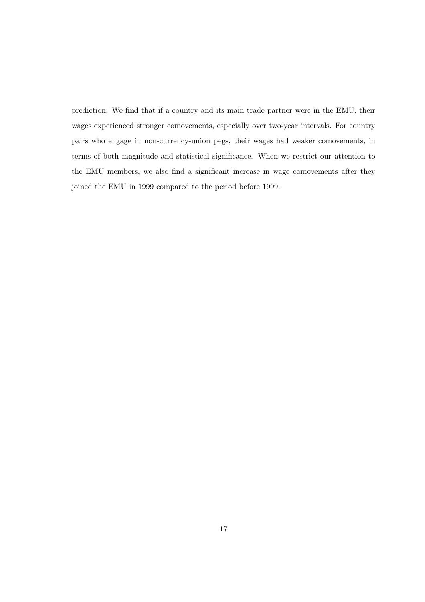prediction. We find that if a country and its main trade partner were in the EMU, their wages experienced stronger comovements, especially over two-year intervals. For country pairs who engage in non-currency-union pegs, their wages had weaker comovements, in terms of both magnitude and statistical significance. When we restrict our attention to the EMU members, we also find a significant increase in wage comovements after they joined the EMU in 1999 compared to the period before 1999.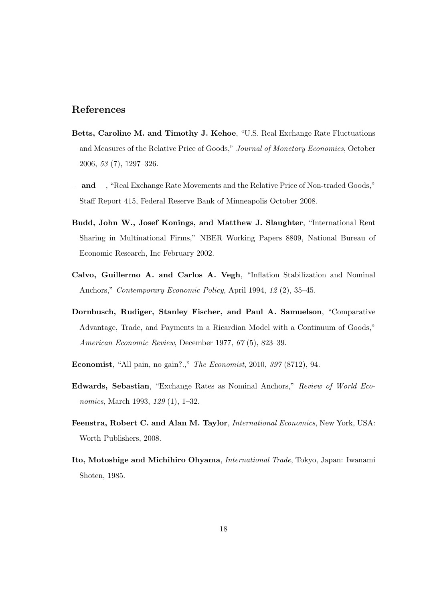## References

- Betts, Caroline M. and Timothy J. Kehoe, "U.S. Real Exchange Rate Fluctuations and Measures of the Relative Price of Goods," Journal of Monetary Economics, October 2006, 53 (7), 1297–326.
- $\Box$  and  $\Box$ , "Real Exchange Rate Movements and the Relative Price of Non-traded Goods," Staff Report 415, Federal Reserve Bank of Minneapolis October 2008.
- Budd, John W., Josef Konings, and Matthew J. Slaughter, "International Rent Sharing in Multinational Firms," NBER Working Papers 8809, National Bureau of Economic Research, Inc February 2002.
- Calvo, Guillermo A. and Carlos A. Vegh, "Inflation Stabilization and Nominal Anchors," Contemporary Economic Policy, April 1994, 12 (2), 35–45.
- Dornbusch, Rudiger, Stanley Fischer, and Paul A. Samuelson, "Comparative Advantage, Trade, and Payments in a Ricardian Model with a Continuum of Goods," American Economic Review, December 1977, 67 (5), 823–39.
- Economist, "All pain, no gain?.," The Economist, 2010, 397 (8712), 94.
- Edwards, Sebastian, "Exchange Rates as Nominal Anchors," Review of World Economics, March 1993, 129 (1), 1–32.
- Feenstra, Robert C. and Alan M. Taylor, International Economics, New York, USA: Worth Publishers, 2008.
- Ito, Motoshige and Michihiro Ohyama, International Trade, Tokyo, Japan: Iwanami Shoten, 1985.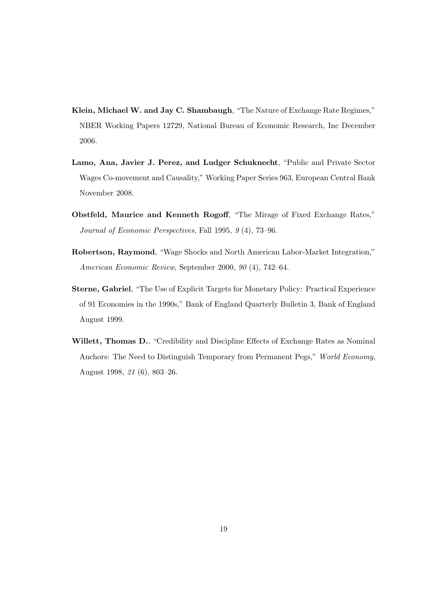- Klein, Michael W. and Jay C. Shambaugh, "The Nature of Exchange Rate Regimes," NBER Working Papers 12729, National Bureau of Economic Research, Inc December 2006.
- Lamo, Ana, Javier J. Perez, and Ludger Schuknecht, "Public and Private Sector Wages Co-movement and Causality," Working Paper Series 963, European Central Bank November 2008.
- Obstfeld, Maurice and Kenneth Rogoff, "The Mirage of Fixed Exchange Rates," Journal of Economic Perspectives, Fall 1995, 9 (4), 73–96.
- Robertson, Raymond, "Wage Shocks and North American Labor-Market Integration," American Economic Review, September 2000, 90 (4), 742–64.
- Sterne, Gabriel, "The Use of Explicit Targets for Monetary Policy: Practical Experience of 91 Economies in the 1990s," Bank of England Quarterly Bulletin 3, Bank of England August 1999.
- Willett, Thomas D., "Credibility and Discipline Effects of Exchange Rates as Nominal Anchors: The Need to Distinguish Temporary from Permanent Pegs," World Economy, August 1998, 21 (6), 803–26.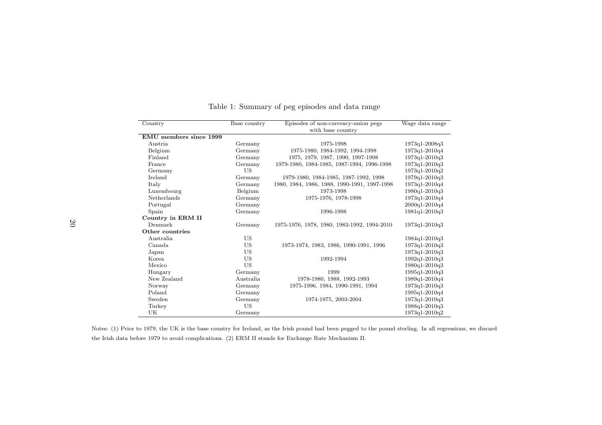| Country                | Base country | Episodes of non-currency-union pegs          | Wage data range |
|------------------------|--------------|----------------------------------------------|-----------------|
|                        |              |                                              |                 |
| EMU members since 1999 |              |                                              |                 |
| Austria                | Germany      | 1975-1998                                    | 1973q1-2008q3   |
| Belgium                | Germany      | 1975-1980, 1984-1992, 1994-1998              | 1973q1-2010q4   |
| Finland                | Germany      | 1975, 1979, 1987, 1990, 1997-1998            | 1973q1-2010q3   |
| France                 | Germany      | 1979-1980, 1984-1985, 1987-1994, 1996-1998   | 1973q1-2010q3   |
| Germany                | US           |                                              | 1973q1-2010q2   |
| Ireland                | Germany      | 1979-1980, 1984-1985, 1987-1992, 1998        | 1979q1-2010q3   |
| Italy                  | Germany      | 1980, 1984, 1986, 1988, 1990-1991, 1997-1998 | 1973q1-2010q4   |
| Luxembourg             | Belgium      | 1973-1998                                    | 1980q1-2010q3   |
| Netherlands            | Germany      | 1975-1976, 1978-1998                         | 1973q1-2010q4   |
| Portugal               | Germany      |                                              | 2000q1-2010q4   |
| Spain                  | Germany      | 1996-1998                                    | 1981q1-2010q3   |
| Country in ERM II      |              |                                              |                 |
| Denmark                | Germany      | 1975-1976, 1978, 1980, 1983-1992, 1994-2010  | $1973q1-2010q3$ |
| Other countries        |              |                                              |                 |
| Australia              | US           |                                              | 1984q1-2010q3   |
| Canada.                | US           | 1973-1974, 1983, 1986, 1990-1991, 1996       | 1973q1-2010q3   |
| Japan                  | US           |                                              | 1973q1-2010q3   |
| Korea                  | US           | 1992-1994                                    | 1992q1-2010q3   |
| Mexico                 | US           |                                              | 1980q1-2010q3   |
| Hungary                | Germany      | 1999                                         | 1995q1-2010q3   |
| New Zealand            | Australia    | 1978-1980, 1988, 1992-1993                   | 1989q1-2010q4   |
| Norway                 | Germany      | 1975-1996, 1984, 1990-1991, 1994             | $1973q1-2010q3$ |
| Poland                 | Germany      |                                              | 1995q1-2010q4   |
| Sweden                 | Germany      | 1974-1975, 2003-2004                         | 1973q1-2010q3   |
| Turkey                 | <b>US</b>    |                                              | 1988q1-2010q3   |
| UK                     | Germany      |                                              | 1973q1-2010q2   |

Table 1: Summary of peg episodes and data range

Notes: (1) Prior to 1979, the UK is the base country for Ireland, as the Irish pound had been pegged to the pound sterling. In all regressions, we discard the Irish data before 1979 to avoid complications. (2) ERM II stands for Exchange Rate Mechanism II.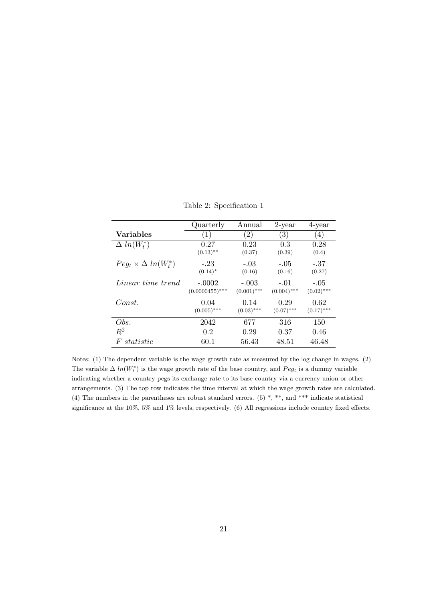|                                 | Quarterly         | Annual            | $2$ -year         | 4-year       |
|---------------------------------|-------------------|-------------------|-------------------|--------------|
| <b>Variables</b>                | $\left(1\right)$  | $\left( 2\right)$ | $\left( 3\right)$ | (4)          |
| $\Delta ln(W_t^*)$              | 0.27              | 0.23              | 0.3               | 0.28         |
|                                 | $(0.13)$ **       | (0.37)            | (0.39)            | (0.4)        |
| $Peg_t \times \Delta ln(W_t^*)$ | $-.23$            | $-.03$            | $-.05$            | -.37         |
|                                 | $(0.14)^*$        | (0.16)            | (0.16)            | (0.27)       |
| Linear time trend               | $-.0002$          | $-.003$           | $-.01$            | $-.05$       |
|                                 | $(0.0000455)$ *** | $(0.001)$ ***     | $(0.004)$ ***     | $(0.02)$ *** |
| Const.                          | 0.04              | 0.14              | 0.29              | 0.62         |
|                                 | $(0.005)$ ***     | $(0.03)$ ***      | $(0.07)$ ***      | $(0.17)$ *** |
| Obs.                            | 2042              | 677               | 316               | 150          |
| $R^2$                           | 0.2               | 0.29              | 0.37              | 0.46         |
| statistic<br>$F^r$              | 60.1              | 56.43             | 48.51             | 46.48        |

Table 2: Specification 1

Notes: (1) The dependent variable is the wage growth rate as measured by the log change in wages. (2) The variable  $\Delta ln(W_t^*)$  is the wage growth rate of the base country, and  $Peg_t$  is a dummy variable indicating whether a country pegs its exchange rate to its base country via a currency union or other arrangements. (3) The top row indicates the time interval at which the wage growth rates are calculated. (4) The numbers in the parentheses are robust standard errors. (5) \*, \*\*, and \*\*\* indicate statistical significance at the 10%, 5% and 1% levels, respectively. (6) All regressions include country fixed effects.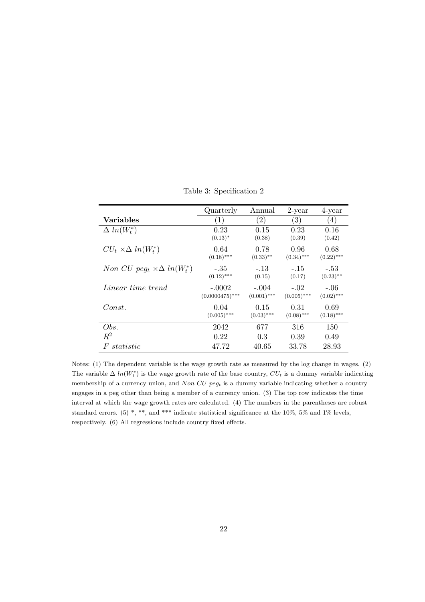|                                                   | Quarterly                     | Annual                   | $2$ -year               | 4-year                 |
|---------------------------------------------------|-------------------------------|--------------------------|-------------------------|------------------------|
| Variables                                         | 1)                            | $\left( 2\right)$        | $\left( 3\right)$       | $\left(4\right)$       |
| $\Delta ln(W_t^*)$                                | 0.23                          | 0.15                     | 0.23                    | 0.16                   |
|                                                   | $(0.13)^*$                    | (0.38)                   | (0.39)                  | (0.42)                 |
| $CU_t \times \Delta ln(W_t^*)$                    | 0.64<br>$(0.18)$ ***          | 0.78<br>$(0.33)$ **      | 0.96<br>$(0.34)$ ***    | 0.68<br>$(0.22)$ ***   |
| Non CU peg <sub>t</sub> $\times \Delta ln(W_t^*)$ | -.35<br>$(0.12)$ ***          | $-.13$<br>(0.15)         | $-.15$<br>(0.17)        | $-.53$<br>$(0.23)$ **  |
| Linear time trend                                 | $-.0002$<br>$(0.0000475)$ *** | $-.004$<br>$(0.001)$ *** | $-.02$<br>$(0.005)$ *** | $-.06$<br>$(0.02)$ *** |
| Const.                                            | 0.04<br>$(0.005)$ ***         | 0.15<br>$(0.03)$ ***     | 0.31<br>$(0.08)$ ***    | 0.69<br>$(0.18)$ ***   |
| Obs.                                              | 2042                          | 677                      | 316                     | 150                    |
| $R^2$                                             | 0.22                          | 0.3                      | 0.39                    | 0.49                   |
| statistic<br>F                                    | 47.72                         | 40.65                    | 33.78                   | 28.93                  |

Table 3: Specification 2

Notes: (1) The dependent variable is the wage growth rate as measured by the log change in wages. (2) The variable  $\Delta ln(W_t^*)$  is the wage growth rate of the base country,  $CU_t$  is a dummy variable indicating membership of a currency union, and  $Non\ CU\ peg_t$  is a dummy variable indicating whether a country engages in a peg other than being a member of a currency union. (3) The top row indicates the time interval at which the wage growth rates are calculated. (4) The numbers in the parentheses are robust standard errors. (5) \*, \*\*, and \*\*\* indicate statistical significance at the 10%, 5% and 1% levels, respectively. (6) All regressions include country fixed effects.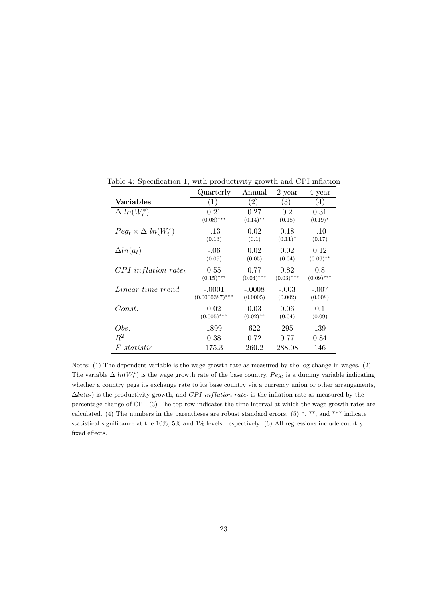|                                   | Quarterly         | Annual            | $2$ -year    | 4-year                 |
|-----------------------------------|-------------------|-------------------|--------------|------------------------|
| Variables                         | (1)               | $\left( 2\right)$ | (3)          | $\left(4\right)$       |
| $\Delta ln(W_t^*)$                | 0.21              | 0.27              | 0.2          | 0.31                   |
|                                   | $(0.08)$ ***      | $(0.14)$ **       | (0.18)       | $(0.19)^*$             |
| $Peg_t \times \Delta ln(W_t^*)$   | $-.13$            | 0.02              | 0.18         | $-.10$                 |
|                                   | (0.13)            | (0.1)             | $(0.11)^*$   | (0.17)                 |
| $\Delta ln(a_t)$                  | $-.06$            | 0.02              | 0.02         | 0.12                   |
|                                   | (0.09)            | (0.05)            | (0.04)       | $(0.06)$ <sup>**</sup> |
| $CPI$ inflation rate <sub>t</sub> | 0.55              | 0.77              | 0.82         | 0.8                    |
|                                   | $(0.15)$ ***      | $(0.04)$ ***      | $(0.03)$ *** | $(0.09)$ ***           |
| <i>Linear time trend</i>          | $-.0001$          | $-.0008$          | $-.003$      | $-.007$                |
|                                   | $(0.0000387)$ *** | (0.0005)          | (0.002)      | (0.008)                |
| Const.                            | 0.02              | 0.03              | 0.06         | 0.1                    |
|                                   | $(0.005)$ ***     | $(0.02)$ **       | (0.04)       | (0.09)                 |
| Obs.                              | 1899              | 622               | 295          | 139                    |
| $R^2$                             | 0.38              | 0.72              | 0.77         | 0.84                   |
| statistic<br>$F_{\cdot}$          | 175.3             | 260.2             | 288.08       | 146                    |

Table 4: Specification 1, with productivity growth and CPI inflation

Notes: (1) The dependent variable is the wage growth rate as measured by the log change in wages. (2) The variable  $\Delta ln(W_t^*)$  is the wage growth rate of the base country,  $Peg_t$  is a dummy variable indicating whether a country pegs its exchange rate to its base country via a currency union or other arrangements,  $\Delta ln(a_t)$  is the productivity growth, and CPI inflation rate<sub>t</sub> is the inflation rate as measured by the percentage change of CPI. (3) The top row indicates the time interval at which the wage growth rates are calculated. (4) The numbers in the parentheses are robust standard errors. (5) \*, \*\*, and \*\*\* indicate statistical significance at the 10%, 5% and 1% levels, respectively. (6) All regressions include country fixed effects.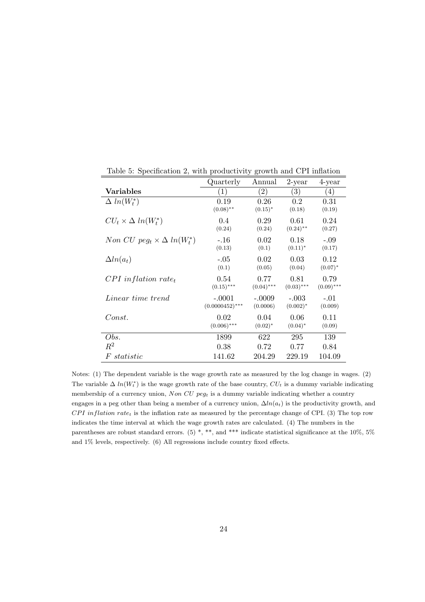|                                        | Quarterly         | Annual            | $2$ -year        | 4-year           |
|----------------------------------------|-------------------|-------------------|------------------|------------------|
| Variables                              | (1)               | $\left( 2\right)$ | $\left(3\right)$ | $\left(4\right)$ |
| $\Delta ln(W_t^*)$                     | 0.19              | 0.26              | 0.2              | 0.31             |
|                                        | $(0.08)$ **       | $(0.15)^*$        | (0.18)           | (0.19)           |
| $CU_t \times \Delta ln(W_t^*)$         | 0.4               | 0.29              | 0.61             | 0.24             |
|                                        | (0.24)            | (0.24)            | $(0.24)$ **      | (0.27)           |
| Non CU $peq_t \times \Delta ln(W_t^*)$ | $-.16$            | 0.02              | 0.18             | $-.09$           |
|                                        | (0.13)            | (0.1)             | $(0.11)^*$       | (0.17)           |
| $\Delta ln(a_t)$                       | $-.05$            | 0.02              | 0.03             | 0.12             |
|                                        | (0.1)             | (0.05)            | (0.04)           | $(0.07)^*$       |
| $CPI$ inflation rate <sub>t</sub>      | 0.54              | 0.77              | 0.81             | 0.79             |
|                                        | $(0.15)$ ***      | $(0.04)$ ***      | $(0.03)$ ***     | $(0.09)$ ***     |
| Linear time trend                      | $-.0001$          | $-.0009$          | $-.003$          | $-.01$           |
|                                        | $(0.0000452)$ *** | (0.0006)          | $(0.002)^*$      | (0.009)          |
| Const.                                 | 0.02              | 0.04              | 0.06             | 0.11             |
|                                        | $(0.006)$ ***     | $(0.02)^*$        | $(0.04)^*$       | (0.09)           |
| Obs.                                   | 1899              | 622               | 295              | 139              |
| $R^2$                                  | 0.38              | 0.72              | 0.77             | 0.84             |
| statistic<br>F                         | 141.62            | 204.29            | 229.19           | 104.09           |

Table 5: Specification 2, with productivity growth and CPI inflation

Notes: (1) The dependent variable is the wage growth rate as measured by the log change in wages. (2) The variable  $\Delta ln(W_t^*)$  is the wage growth rate of the base country,  $CU_t$  is a dummy variable indicating membership of a currency union,  $Non\ CU\ pegt$  is a dummy variable indicating whether a country engages in a peg other than being a member of a currency union,  $\Delta ln(a_t)$  is the productivity growth, and  $CPI$  inflation rate<sub>t</sub> is the inflation rate as measured by the percentage change of CPI. (3) The top row indicates the time interval at which the wage growth rates are calculated. (4) The numbers in the parentheses are robust standard errors. (5) \*, \*\*, and \*\*\* indicate statistical significance at the 10%, 5% and 1% levels, respectively. (6) All regressions include country fixed effects.